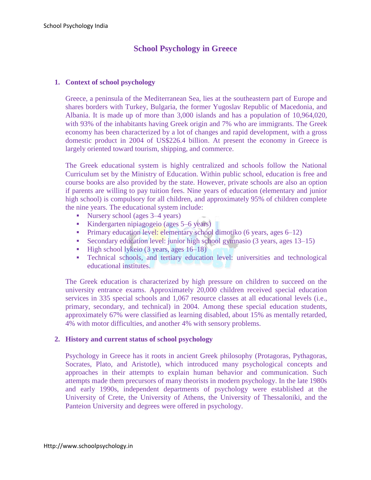# **School Psychology in Greece**

### **1. Context of school psychology**

Greece, a peninsula of the Mediterranean Sea, lies at the southeastern part of Europe and shares borders with Turkey, Bulgaria, the former Yugoslav Republic of Macedonia, and Albania. It is made up of more than 3,000 islands and has a population of 10,964,020, with 93% of the inhabitants having Greek origin and 7% who are immigrants. The Greek economy has been characterized by a lot of changes and rapid development, with a gross domestic product in 2004 of US\$226.4 billion. At present the economy in Greece is largely oriented toward tourism, shipping, and commerce.

The Greek educational system is highly centralized and schools follow the National Curriculum set by the Ministry of Education. Within public school, education is free and course books are also provided by the state. However, private schools are also an option if parents are willing to pay tuition fees. Nine years of education (elementary and junior high school) is compulsory for all children, and approximately 95% of children complete the nine years. The educational system include:

- Nursery school (ages 3–4 years)
- Kindergarten nipiagogeio (ages 5–6 years)
- **Primary education level: elementary school dimotiko (6 years, ages 6–12)**
- Secondary education level: junior high school gymnasio (3 years, ages 13–15)
- $\blacksquare$  High school lykeio (3 years, ages 16–18)
- Technical schools, and tertiary education level: universities and technological educational institutes.

The Greek education is characterized by high pressure on children to succeed on the university entrance exams. Approximately 20,000 children received special education services in 335 special schools and 1,067 resource classes at all educational levels (i.e., primary, secondary, and technical) in 2004. Among these special education students, approximately 67% were classified as learning disabled, about 15% as mentally retarded, 4% with motor difficulties, and another 4% with sensory problems.

### **2. History and current status of school psychology**

Psychology in Greece has it roots in ancient Greek philosophy (Protagoras, Pythagoras, Socrates, Plato, and Aristotle), which introduced many psychological concepts and approaches in their attempts to explain human behavior and communication. Such attempts made them precursors of many theorists in modern psychology. In the late 1980s and early 1990s, independent departments of psychology were established at the University of Crete, the University of Athens, the University of Thessaloniki, and the Panteion University and degrees were offered in psychology.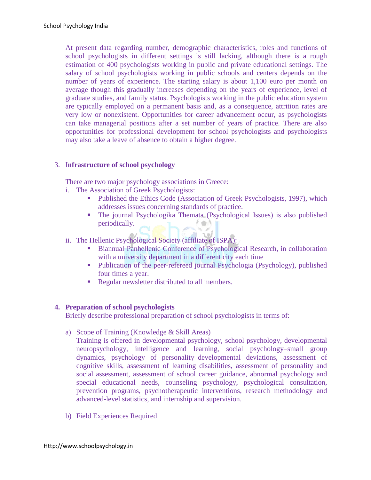At present data regarding number, demographic characteristics, roles and functions of school psychologists in different settings is still lacking, although there is a rough estimation of 400 psychologists working in public and private educational settings. The salary of school psychologists working in public schools and centers depends on the number of years of experience. The starting salary is about 1,100 euro per month on average though this gradually increases depending on the years of experience, level of graduate studies, and family status. Psychologists working in the public education system are typically employed on a permanent basis and, as a consequence, attrition rates are very low or nonexistent. Opportunities for career advancement occur, as psychologists can take managerial positions after a set number of years of practice. There are also opportunities for professional development for school psychologists and psychologists may also take a leave of absence to obtain a higher degree.

## 3. I**nfrastructure of school psychology**

There are two major psychology associations in Greece:

- i. The Association of Greek Psychologists:
	- Published the Ethics Code (Association of Greek Psychologists, 1997), which addresses issues concerning standards of practice.
	- The journal Psychologika Themata (Psychological Issues) is also published periodically.  $\mathcal{L} \rightarrow \mathcal{L}$
- ii. The Hellenic Psychological Society (affiliate of ISPA):
	- Biannual Panhellenic Conference of Psychological Research, in collaboration with a university department in a different city each time
	- Publication of the peer-refereed journal Psychologia (Psychology), published four times a year.
	- Regular newsletter distributed to all members.

### **4. Preparation of school psychologists**

Briefly describe professional preparation of school psychologists in terms of:

a) Scope of Training (Knowledge & Skill Areas)

Training is offered in developmental psychology, school psychology, developmental neuropsychology, intelligence and learning, social psychology–small group dynamics, psychology of personality–developmental deviations, assessment of cognitive skills, assessment of learning disabilities, assessment of personality and social assessment, assessment of school career guidance, abnormal psychology and special educational needs, counseling psychology, psychological consultation, prevention programs, psychotherapeutic interventions, research methodology and advanced-level statistics, and internship and supervision.

b) Field Experiences Required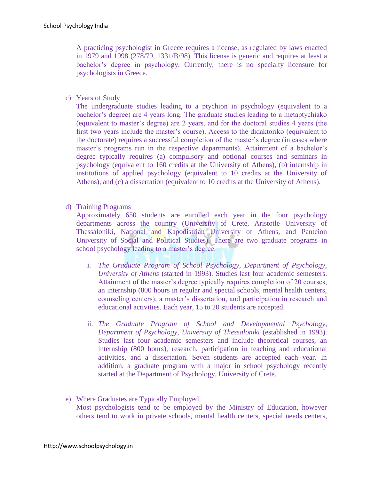A practicing psychologist in Greece requires a license, as regulated by laws enacted in 1979 and 1998 (278/79, 1331/B/98). This license is generic and requires at least a bachelor's degree in psychology. Currently, there is no specialty licensure for psychologists in Greece.

c) Years of Study

The undergraduate studies leading to a ptychion in psychology (equivalent to a bachelor's degree) are 4 years long. The graduate studies leading to a metaptychiako (equivalent to master's degree) are 2 years, and for the doctoral studies 4 years (the first two years include the master's course). Access to the didaktoriko (equivalent to the doctorate) requires a successful completion of the master's degree (in cases where master's programs run in the respective departments). Attainment of a bachelor's degree typically requires (a) compulsory and optional courses and seminars in psychology (equivalent to 160 credits at the University of Athens), (b) internship in institutions of applied psychology (equivalent to 10 credits at the University of Athens), and (c) a dissertation (equivalent to 10 credits at the University of Athens).

d) Training Programs

Approximately 650 students are enrolled each year in the four psychology departments across the country (University of Crete, Aristotle University of Thessaloniki, National and Kapodistrian University of Athens, and Panteion University of Social and Political Studies). There are two graduate programs in school psychology leading to a master's degree:

- i. *The Graduate Program of School Psychology, Department of Psychology, University of Athens* (started in 1993). Studies last four academic semesters. Attainment of the master's degree typically requires completion of 20 courses, an internship (800 hours in regular and special schools, mental health centers, counseling centers), a master's dissertation, and participation in research and educational activities. Each year, 15 to 20 students are accepted.
- ii. *The Graduate Program of School and Developmental Psychology, Department of Psychology, University of Thessaloniki* (established in 1993). Studies last four academic semesters and include theoretical courses, an internship (800 hours), research, participation in teaching and educational activities, and a dissertation. Seven students are accepted each year. In addition, a graduate program with a major in school psychology recently started at the Department of Psychology, University of Crete.
- e) Where Graduates are Typically Employed Most psychologists tend to be employed by the Ministry of Education, however others tend to work in private schools, mental health centers, special needs centers,